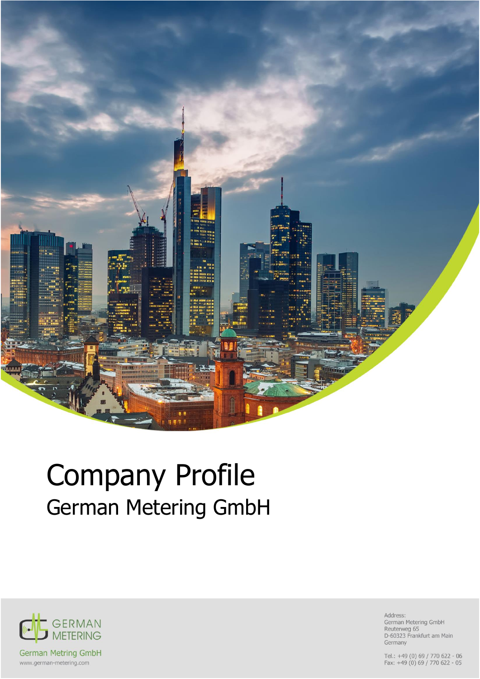

# Company Profile German Metering GmbH



Address: German Metering GmbH Reuterweg 65<br>D-60323 Frankfurt am Main Germany

Tel.: +49 (0) 69 / 770 622 - 06<br>Fax: +49 (0) 69 / 770 622 - 05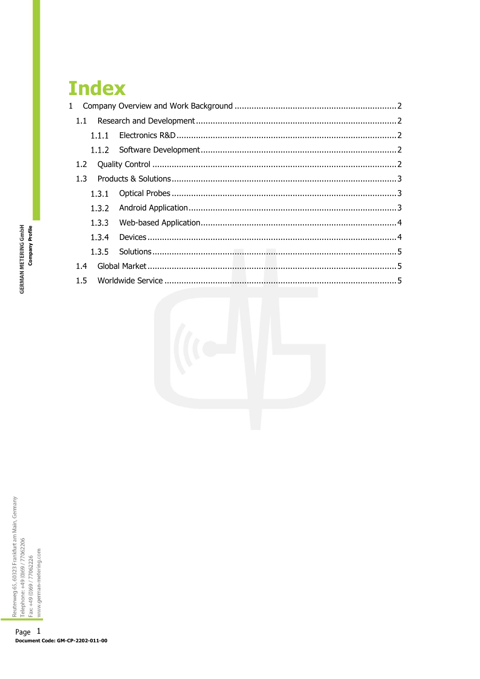# **Index**

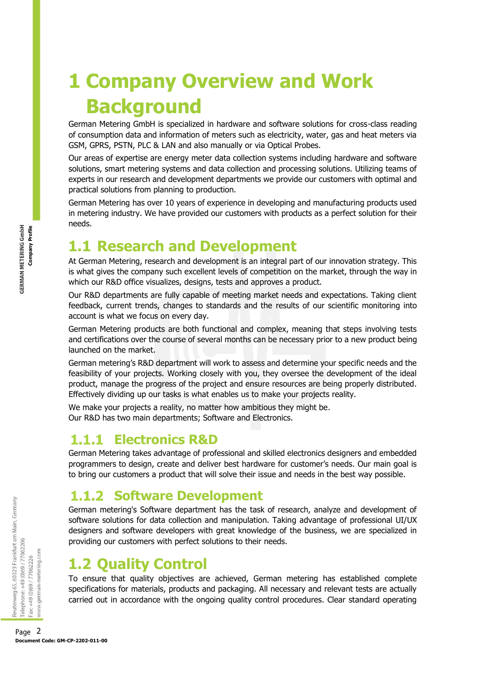# <span id="page-2-0"></span>**1 Company Overview and Work Background**

German Metering GmbH is specialized in hardware and software solutions for cross-class reading of consumption data and information of meters such as electricity, water, gas and heat meters via GSM, GPRS, PSTN, PLC & LAN and also manually or via Optical Probes.

Our areas of expertise are energy meter data collection systems including hardware and software solutions, smart metering systems and data collection and processing solutions. Utilizing teams of experts in our research and development departments we provide our customers with optimal and practical solutions from planning to production.

German Metering has over 10 years of experience in developing and manufacturing products used in metering industry. We have provided our customers with products as a perfect solution for their needs.

# <span id="page-2-1"></span>**1.1 Research and Development**

At German Metering, research and development is an integral part of our innovation strategy. This is what gives the company such excellent levels of competition on the market, through the way in which our R&D office visualizes, designs, tests and approves a product.

Our R&D departments are fully capable of meeting market needs and expectations. Taking client feedback, current trends, changes to standards and the results of our scientific monitoring into account is what we focus on every day.

German Metering products are both functional and complex, meaning that steps involving tests and certifications over the course of several months can be necessary prior to a new product being launched on the market.

German metering's R&D department will work to assess and determine your specific needs and the feasibility of your projects. Working closely with you, they oversee the development of the ideal product, manage the progress of the project and ensure resources are being properly distributed. Effectively dividing up our tasks is what enables us to make your projects reality.

We make your projects a reality, no matter how ambitious they might be. Our R&D has two main departments; Software and Electronics.

#### <span id="page-2-2"></span>**Electronics R&D**

German Metering takes advantage of professional and skilled electronics designers and embedded programmers to design, create and deliver best hardware for customer's needs. Our main goal is to bring our customers a product that will solve their issue and needs in the best way possible.

#### <span id="page-2-3"></span>**1.1.2 Software Development**

German metering's Software department has the task of research, analyze and development of software solutions for data collection and manipulation. Taking advantage of professional UI/UX designers and software developers with great knowledge of the business, we are specialized in providing our customers with perfect solutions to their needs.

# <span id="page-2-4"></span>**1.2 Quality Control**

To ensure that quality objectives are achieved, German metering has established complete specifications for materials, products and packaging. All necessary and relevant tests are actually carried out in accordance with the ongoing quality control procedures. Clear standard operating

**Document Code:** GM-CP-2202-011-00<br>
Page 2<br>
Document Code: GM-CP-2202-011-00<br>
Page 2<br>
Document Code: GM-CP-2202-011-00<br>
Page 2<br>
Document Code: GM-CP-2202-011-00<br>
Page 2<br>
Document Code: GM-CP-2202-011-00<br>
Page 2<br>
Document C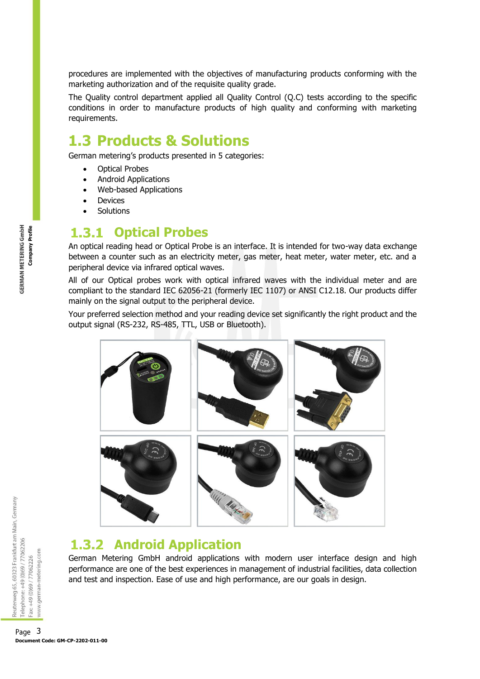procedures are implemented with the objectives of manufacturing products conforming with the marketing authorization and of the requisite quality grade.

The Quality control department applied all Quality Control (Q.C) tests according to the specific conditions in order to manufacture products of high quality and conforming with marketing requirements.

# <span id="page-3-0"></span>**1.3 Products & Solutions**

German metering's products presented in 5 categories:

- Optical Probes
- Android Applications
- Web-based Applications
- **Devices**
- **Solutions**

#### <span id="page-3-1"></span>**Optical Probes**

An optical reading head or Optical Probe is an interface. It is intended for two-way data exchange between a counter such as an electricity meter, gas meter, heat meter, water meter, etc. and a peripheral device via infrared optical waves.

All of our Optical probes work with optical infrared waves with the individual meter and are compliant to the standard IEC 62056-21 (formerly IEC 1107) or ANSI C12.18. Our products differ mainly on the signal output to the peripheral device.

Your preferred selection method and your reading device set significantly the right product and the output signal (RS-232, RS-485, TTL, USB or Bluetooth).



#### <span id="page-3-2"></span>**Android Application**

German Metering GmbH android applications with modern user interface design and high performance are one of the best experiences in management of industrial facilities, data collection and test and inspection. Ease of use and high performance, are our goals in design.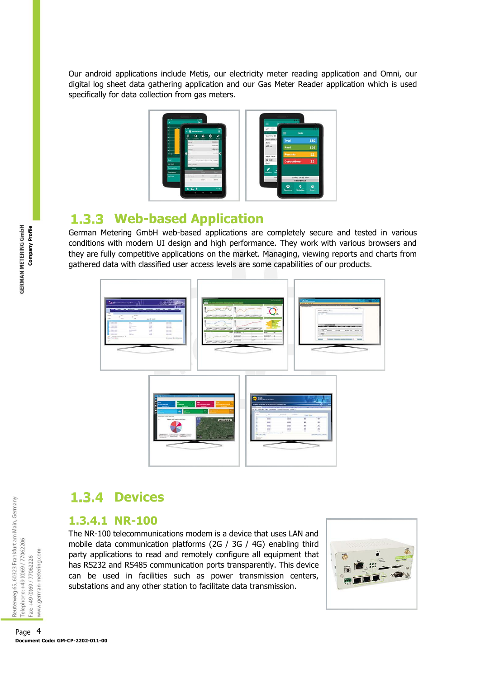Our android applications include Metis, our electricity meter reading application and Omni, our digital log sheet data gathering application and our Gas Meter Reader application which is used specifically for data collection from gas meters.



### <span id="page-4-0"></span>**Web-based Application**

German Metering GmbH web-based applications are completely secure and tested in various conditions with modern UI design and high performance. They work with various browsers and they are fully competitive applications on the market. Managing, viewing reports and charts from gathered data with classified user access levels are some capabilities of our products.



# <span id="page-4-1"></span>**1.3.4 Devices**

#### **1.3.4.1 NR-100**

The NR-100 telecommunications modem is a device that uses LAN and mobile data communication platforms (2G / 3G / 4G) enabling third party applications to read and remotely configure all equipment that has RS232 and RS485 communication ports transparently. This device can be used in facilities such as power transmission centers, substations and any other station to facilitate data transmission.